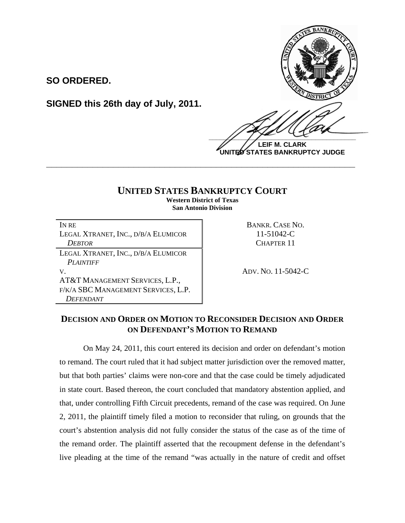

**LEIF M. CLARK UNITED STATES BANKRUPTCY JUDGE**

## **UNITED STATES BANKRUPTCY COURT**

**\_\_\_\_\_\_\_\_\_\_\_\_\_\_\_\_\_\_\_\_\_\_\_\_\_\_\_\_\_\_\_\_\_\_\_\_\_\_\_\_\_\_\_\_\_\_\_\_\_\_\_\_\_\_\_\_\_\_\_\_**

**Western District of Texas San Antonio Division** 

| IN RE                               |
|-------------------------------------|
| LEGAL XTRANET, INC., D/B/A ELUMICOR |
| <b>DEBTOR</b>                       |
| LEGAL XTRANET, INC., D/B/A ELUMICOR |
| <b>PLAINTIFF</b>                    |
| V.                                  |
| AT&T MANAGEMENT SERVICES, L.P.,     |
| F/K/A SBC MANAGEMENT SERVICES, L.P. |
| <b>DEFENDANT</b>                    |

**SIGNED this 26th day of July, 2011.**

**SO ORDERED.**

BANKR. CASE NO.  $11-51042-C$ *DEBTOR* CHAPTER 11

V. ADV. NO. 11-5042-C

## **DECISION AND ORDER ON MOTION TO RECONSIDER DECISION AND ORDER ON DEFENDANT'S MOTION TO REMAND**

 On May 24, 2011, this court entered its decision and order on defendant's motion to remand. The court ruled that it had subject matter jurisdiction over the removed matter, but that both parties' claims were non-core and that the case could be timely adjudicated in state court. Based thereon, the court concluded that mandatory abstention applied, and that, under controlling Fifth Circuit precedents, remand of the case was required. On June 2, 2011, the plaintiff timely filed a motion to reconsider that ruling, on grounds that the court's abstention analysis did not fully consider the status of the case as of the time of the remand order. The plaintiff asserted that the recoupment defense in the defendant's live pleading at the time of the remand "was actually in the nature of credit and offset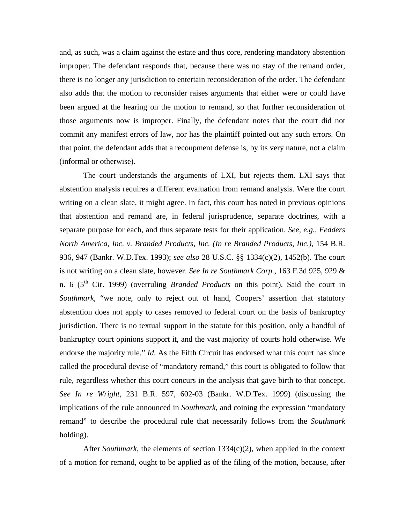and, as such, was a claim against the estate and thus core, rendering mandatory abstention improper. The defendant responds that, because there was no stay of the remand order, there is no longer any jurisdiction to entertain reconsideration of the order. The defendant also adds that the motion to reconsider raises arguments that either were or could have been argued at the hearing on the motion to remand, so that further reconsideration of those arguments now is improper. Finally, the defendant notes that the court did not commit any manifest errors of law, nor has the plaintiff pointed out any such errors. On that point, the defendant adds that a recoupment defense is, by its very nature, not a claim (informal or otherwise).

 The court understands the arguments of LXI, but rejects them. LXI says that abstention analysis requires a different evaluation from remand analysis. Were the court writing on a clean slate, it might agree. In fact, this court has noted in previous opinions that abstention and remand are, in federal jurisprudence, separate doctrines, with a separate purpose for each, and thus separate tests for their application. *See, e.g., Fedders North America, Inc. v. Branded Products, Inc. (In re Branded Products, Inc.)*, 154 B.R. 936, 947 (Bankr. W.D.Tex. 1993); *see also* 28 U.S.C. §§ 1334(c)(2), 1452(b). The court is not writing on a clean slate, however. *See In re Southmark Corp.*, 163 F.3d 925, 929 & n. 6 (5th Cir. 1999) (overruling *Branded Products* on this point). Said the court in *Southmark*, "we note, only to reject out of hand, Coopers' assertion that statutory abstention does not apply to cases removed to federal court on the basis of bankruptcy jurisdiction. There is no textual support in the statute for this position, only a handful of bankruptcy court opinions support it, and the vast majority of courts hold otherwise. We endorse the majority rule." *Id.* As the Fifth Circuit has endorsed what this court has since called the procedural devise of "mandatory remand," this court is obligated to follow that rule, regardless whether this court concurs in the analysis that gave birth to that concept. *See In re Wright*, 231 B.R. 597, 602-03 (Bankr. W.D.Tex. 1999) (discussing the implications of the rule announced in *Southmark*, and coining the expression "mandatory remand" to describe the procedural rule that necessarily follows from the *Southmark* holding).

 After *Southmark*, the elements of section 1334(c)(2), when applied in the context of a motion for remand, ought to be applied as of the filing of the motion, because, after